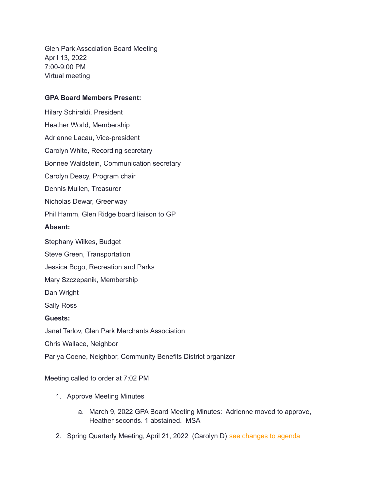Glen Park Association Board Meeting April 13, 2022 7:00-9:00 PM Virtual meeting

## **GPA Board Members Present:**

Hilary Schiraldi, President Heather World, Membership Adrienne Lacau, Vice-president Carolyn White, Recording secretary Bonnee Waldstein, Communication secretary Carolyn Deacy, Program chair Dennis Mullen, Treasurer Nicholas Dewar, Greenway Phil Hamm, Glen Ridge board liaison to GP **Absent:** Stephany Wilkes, Budget Steve Green, Transportation Jessica Bogo, Recreation and Parks Mary Szczepanik, Membership Dan Wright Sally Ross **Guests:** Janet Tarlov, Glen Park Merchants Association Chris Wallace, Neighbor

Pariya Coene, Neighbor, Community Benefits District organizer

Meeting called to order at 7:02 PM

- 1. Approve Meeting Minutes
	- a. March 9, 2022 GPA Board Meeting Minutes: Adrienne moved to approve, Heather seconds. 1 abstained. MSA
- 2. Spring Quarterly Meeting, April 21, 2022 (Carolyn D) see changes to agenda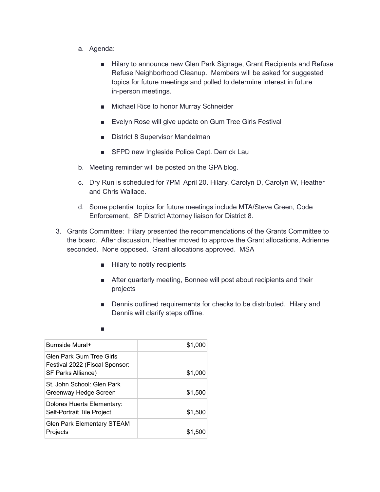- a. Agenda:
	- Hilary to announce new Glen Park Signage, Grant Recipients and Refuse Refuse Neighborhood Cleanup. Members will be asked for suggested topics for future meetings and polled to determine interest in future in-person meetings.
	- Michael Rice to honor Murray Schneider
	- Evelyn Rose will give update on Gum Tree Girls Festival
	- District 8 Supervisor Mandelman
	- SFPD new Ingleside Police Capt. Derrick Lau
- b. Meeting reminder will be posted on the GPA blog.
- c. Dry Run is scheduled for 7PM April 20. Hilary, Carolyn D, Carolyn W, Heather and Chris Wallace.
- d. Some potential topics for future meetings include MTA/Steve Green, Code Enforcement, SF District Attorney liaison for District 8.
- 3. Grants Committee: Hilary presented the recommendations of the Grants Committee to the board. After discussion, Heather moved to approve the Grant allocations, Adrienne seconded. None opposed. Grant allocations approved. MSA
	- Hilary to notify recipients
	- After quarterly meeting, Bonnee will post about recipients and their projects
	- Dennis outlined requirements for checks to be distributed. Hilary and Dennis will clarify steps offline.

| Burnside Mural+                                                                  | \$1,000 |
|----------------------------------------------------------------------------------|---------|
| Glen Park Gum Tree Girls<br>Festival 2022 (Fiscal Sponsor:<br>SF Parks Alliance) | \$1,000 |
| St. John School: Glen Park<br>Greenway Hedge Screen                              | \$1,500 |
| Dolores Huerta Elementary:<br>Self-Portrait Tile Project                         | \$1,500 |
| <b>Glen Park Elementary STEAM</b><br>Projects                                    | \$1,500 |

■